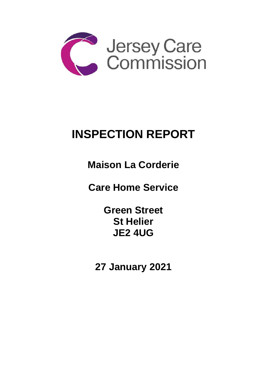

# **INSPECTION REPORT**

**Maison La Corderie** 

**Care Home Service** 

**Green Street St Helier JE2 4UG**

**27 January 2021**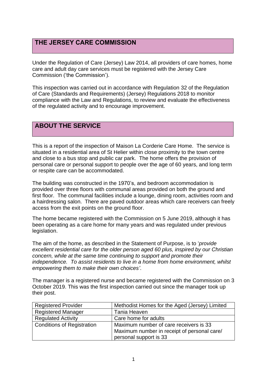## **THE JERSEY CARE COMMISSION**

Under the Regulation of Care (Jersey) Law 2014, all providers of care homes, home care and adult day care services must be registered with the Jersey Care Commission ('the Commission').

This inspection was carried out in accordance with Regulation 32 of the Regulation of Care (Standards and Requirements) (Jersey) Regulations 2018 to monitor compliance with the Law and Regulations, to review and evaluate the effectiveness of the regulated activity and to encourage improvement.

# **ABOUT THE SERVICE**

This is a report of the inspection of Maison La Corderie Care Home. The service is situated in a residential area of St Helier within close proximity to the town centre and close to a bus stop and public car park. The home offers the provision of personal care or personal support to people over the age of 60 years, and long term or respite care can be accommodated.

The building was constructed in the 1970's, and bedroom accommodation is provided over three floors with communal areas provided on both the ground and first floor. The communal facilities include a lounge, dining room, activities room and a hairdressing salon. There are paved outdoor areas which care receivers can freely access from the exit points on the ground floor.

The home became registered with the Commission on 5 June 2019, although it has been operating as a care home for many years and was regulated under previous legislation.

The aim of the home, as described in the Statement of Purpose, is to '*provide excellent residential care for the older person aged 60 plus, inspired by our Christian concern, while at the same time continuing to support and promote their independence. To assist residents to live in a home from home environment, whilst empowering them to make their own choices'*.

The manager is a registered nurse and became registered with the Commission on 3 October 2019. This was the first inspection carried out since the manager took up their post.

| <b>Registered Provider</b>        | Methodist Homes for the Aged (Jersey) Limited |
|-----------------------------------|-----------------------------------------------|
| <b>Registered Manager</b>         | Tania Heaven                                  |
| <b>Regulated Activity</b>         | Care home for adults                          |
| <b>Conditions of Registration</b> | Maximum number of care receivers is 33        |
|                                   | Maximum number in receipt of personal care/   |
|                                   | personal support is 33                        |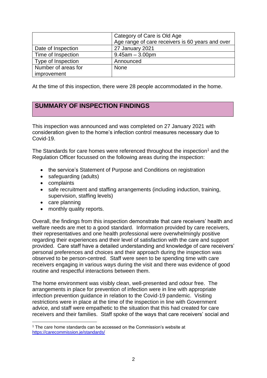|                     | Category of Care is Old Age                      |
|---------------------|--------------------------------------------------|
|                     | Age range of care receivers is 60 years and over |
| Date of Inspection  | 27 January 2021                                  |
| Time of Inspection  | $9.45$ am $-3.00$ pm                             |
| Type of Inspection  | Announced                                        |
| Number of areas for | <b>None</b>                                      |
| improvement         |                                                  |

At the time of this inspection, there were 28 people accommodated in the home.

# **SUMMARY OF INSPECTION FINDINGS**

This inspection was announced and was completed on 27 January 2021 with consideration given to the home's infection control measures necessary due to Covid-19.

The Standards for care homes were referenced throughout the inspection<sup>1</sup> and the Regulation Officer focussed on the following areas during the inspection:

- the service's Statement of Purpose and Conditions on registration
- safeguarding (adults)
- complaints
- safe recruitment and staffing arrangements (including induction, training, supervision, staffing levels)
- care planning
- monthly quality reports.

Overall, the findings from this inspection demonstrate that care receivers' health and welfare needs are met to a good standard. Information provided by care receivers, their representatives and one health professional were overwhelmingly positive regarding their experiences and their level of satisfaction with the care and support provided. Care staff have a detailed understanding and knowledge of care receivers' personal preferences and choices and their approach during the inspection was observed to be person-centred. Staff were seen to be spending time with care receivers engaging in various ways during the visit and there was evidence of good routine and respectful interactions between them.

The home environment was visibly clean, well-presented and odour free. The arrangements in place for prevention of infection were in line with appropriate infection prevention guidance in relation to the Covid-19 pandemic. Visiting restrictions were in place at the time of the inspection in line with Government advice, and staff were empathetic to the situation that this had created for care receivers and their families. Staff spoke of the ways that care receivers' social and

<sup>&</sup>lt;sup>1</sup> The care home standards can be accessed on the Commission's website at <https://carecommission.je/standards/>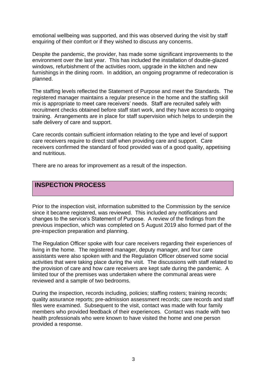emotional wellbeing was supported, and this was observed during the visit by staff enquiring of their comfort or if they wished to discuss any concerns.

Despite the pandemic, the provider, has made some significant improvements to the environment over the last year. This has included the installation of double-glazed windows, refurbishment of the activities room, upgrade in the kitchen and new furnishings in the dining room. In addition, an ongoing programme of redecoration is planned.

The staffing levels reflected the Statement of Purpose and meet the Standards. The registered manager maintains a regular presence in the home and the staffing skill mix is appropriate to meet care receivers' needs. Staff are recruited safely with recruitment checks obtained before staff start work, and they have access to ongoing training. Arrangements are in place for staff supervision which helps to underpin the safe delivery of care and support.

Care records contain sufficient information relating to the type and level of support care receivers require to direct staff when providing care and support. Care receivers confirmed the standard of food provided was of a good quality, appetising and nutritious.

There are no areas for improvement as a result of the inspection.

# **INSPECTION PROCESS**

Prior to the inspection visit, information submitted to the Commission by the service since it became registered, was reviewed. This included any notifications and changes to the service's Statement of Purpose. A review of the findings from the previous inspection, which was completed on 5 August 2019 also formed part of the pre-inspection preparation and planning.

The Regulation Officer spoke with four care receivers regarding their experiences of living in the home. The registered manager, deputy manager, and four care assistants were also spoken with and the Regulation Officer observed some social activities that were taking place during the visit. The discussions with staff related to the provision of care and how care receivers are kept safe during the pandemic. A limited tour of the premises was undertaken where the communal areas were reviewed and a sample of two bedrooms.

During the inspection, records including, policies; staffing rosters; training records; quality assurance reports; pre-admission assessment records; care records and staff files were examined. Subsequent to the visit, contact was made with four family members who provided feedback of their experiences. Contact was made with two health professionals who were known to have visited the home and one person provided a response.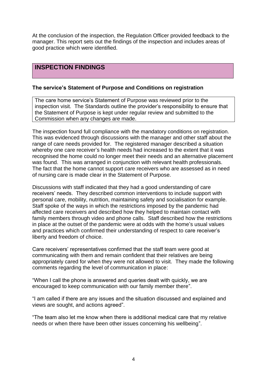At the conclusion of the inspection, the Regulation Officer provided feedback to the manager. This report sets out the findings of the inspection and includes areas of good practice which were identified.

## **INSPECTION FINDINGS**

#### **The service's Statement of Purpose and Conditions on registration**

The care home service's Statement of Purpose was reviewed prior to the inspection visit. The Standards outline the provider's responsibility to ensure that the Statement of Purpose is kept under regular review and submitted to the Commission when any changes are made.

The inspection found full compliance with the mandatory conditions on registration. This was evidenced through discussions with the manager and other staff about the range of care needs provided for. The registered manager described a situation whereby one care receiver's health needs had increased to the extent that it was recognised the home could no longer meet their needs and an alternative placement was found. This was arranged in conjunction with relevant health professionals. The fact that the home cannot support care receivers who are assessed as in need of nursing care is made clear in the Statement of Purpose.

Discussions with staff indicated that they had a good understanding of care receivers' needs. They described common interventions to include support with personal care, mobility, nutrition, maintaining safety and socialisation for example. Staff spoke of the ways in which the restrictions imposed by the pandemic had affected care receivers and described how they helped to maintain contact with family members through video and phone calls. Staff described how the restrictions in place at the outset of the pandemic were at odds with the home's usual values and practices which confirmed their understanding of respect to care receiver's liberty and freedom of choice.

Care receivers' representatives confirmed that the staff team were good at communicating with them and remain confident that their relatives are being appropriately cared for when they were not allowed to visit. They made the following comments regarding the level of communication in place:

"When I call the phone is answered and queries dealt with quickly, we are encouraged to keep communication with our family member there".

"I am called if there are any issues and the situation discussed and explained and views are sought, and actions agreed".

"The team also let me know when there is additional medical care that my relative needs or when there have been other issues concerning his wellbeing".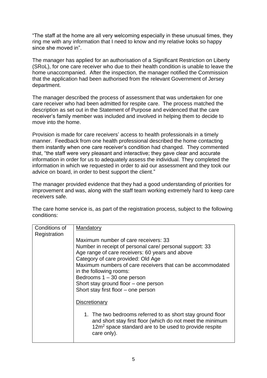"The staff at the home are all very welcoming especially in these unusual times, they ring me with any information that I need to know and my relative looks so happy since she moved in"

The manager has applied for an authorisation of a Significant Restriction on Liberty (SRoL), for one care receiver who due to their health condition is unable to leave the home unaccompanied. After the inspection, the manager notified the Commission that the application had been authorised from the relevant Government of Jersey department.

The manager described the process of assessment that was undertaken for one care receiver who had been admitted for respite care. The process matched the description as set out in the Statement of Purpose and evidenced that the care receiver's family member was included and involved in helping them to decide to move into the home.

Provision is made for care receivers' access to health professionals in a timely manner. Feedback from one health professional described the home contacting them instantly when one care receiver's condition had changed. They commented that, "the staff were very pleasant and interactive; they gave clear and accurate information in order for us to adequately assess the individual. They completed the information in which we requested in order to aid our assessment and they took our advice on board, in order to best support the client."

The manager provided evidence that they had a good understanding of priorities for improvement and was, along with the staff team working extremely hard to keep care receivers safe.

The care home service is, as part of the registration process, subject to the following conditions:

| Conditions of<br>Registration | Mandatory                                                                                                                                                                                                                                                                                                                                                                                         |
|-------------------------------|---------------------------------------------------------------------------------------------------------------------------------------------------------------------------------------------------------------------------------------------------------------------------------------------------------------------------------------------------------------------------------------------------|
|                               | Maximum number of care receivers: 33<br>Number in receipt of personal care/ personal support: 33<br>Age range of care receivers: 60 years and above<br>Category of care provided: Old Age<br>Maximum numbers of care receivers that can be accommodated<br>in the following rooms:<br>Bedrooms $1 - 30$ one person<br>Short stay ground floor – one person<br>Short stay first floor – one person |
|                               | Discretionary                                                                                                                                                                                                                                                                                                                                                                                     |
|                               | 1. The two bedrooms referred to as short stay ground floor<br>and short stay first floor (which do not meet the minimum<br>12m <sup>2</sup> space standard are to be used to provide respite<br>care only).                                                                                                                                                                                       |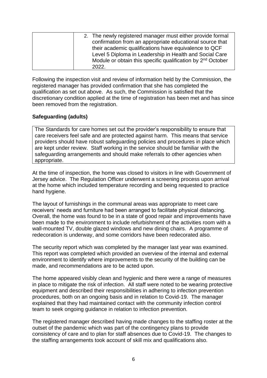| 2. The newly registered manager must either provide formal              |
|-------------------------------------------------------------------------|
| confirmation from an appropriate educational source that                |
| their academic qualifications have equivalence to QCF                   |
| Level 5 Diploma in Leadership in Health and Social Care                 |
| Module or obtain this specific qualification by 2 <sup>nd</sup> October |
| 2022.                                                                   |

Following the inspection visit and review of information held by the Commission, the registered manager has provided confirmation that she has completed the qualification as set out above. As such, the Commission is satisfied that the discretionary condition applied at the time of registration has been met and has since been removed from the registration.

#### **Safeguarding (adults)**

The Standards for care homes set out the provider's responsibility to ensure that care receivers feel safe and are protected against harm. This means that service providers should have robust safeguarding policies and procedures in place which are kept under review. Staff working in the service should be familiar with the safeguarding arrangements and should make referrals to other agencies when appropriate.

At the time of inspection, the home was closed to visitors in line with Government of Jersey advice. The Regulation Officer underwent a screening process upon arrival at the home which included temperature recording and being requested to practice hand hygiene.

The layout of furnishings in the communal areas was appropriate to meet care receivers' needs and furniture had been arranged to facilitate physical distancing. Overall, the home was found to be in a state of good repair and improvements have been made to the environment to include refurbishment of the activities room with a wall-mounted TV, double glazed windows and new dining chairs. A programme of redecoration is underway, and some corridors have been redecorated also.

The security report which was completed by the manager last year was examined. This report was completed which provided an overview of the internal and external environment to identify where improvements to the security of the building can be made, and recommendations are to be acted upon.

The home appeared visibly clean and hygienic and there were a range of measures in place to mitigate the risk of infection. All staff were noted to be wearing protective equipment and described their responsibilities in adhering to infection prevention procedures, both on an ongoing basis and in relation to Covid-19. The manager explained that they had maintained contact with the community infection control team to seek ongoing guidance in relation to infection prevention.

The registered manager described having made changes to the staffing roster at the outset of the pandemic which was part of the contingency plans to provide consistency of care and to plan for staff absences due to Covid-19. The changes to the staffing arrangements took account of skill mix and qualifications also.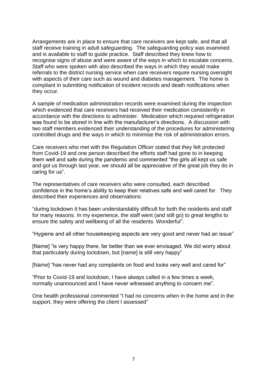Arrangements are in place to ensure that care receivers are kept safe, and that all staff receive training in adult safeguarding. The safeguarding policy was examined and is available to staff to guide practice. Staff described they knew how to recognise signs of abuse and were aware of the ways in which to escalate concerns. Staff who were spoken with also described the ways in which they would make referrals to the district nursing service when care receivers require nursing oversight with aspects of their care such as wound and diabetes management. The home is compliant in submitting notification of incident records and death notifications when they occur.

A sample of medication administration records were examined during the inspection which evidenced that care receivers had received their medication consistently in accordance with the directions to administer. Medication which required refrigeration was found to be stored in line with the manufacturer's directions. A discussion with two staff members evidenced their understanding of the procedures for administering controlled drugs and the ways in which to minimise the risk of administration errors.

Care receivers who met with the Regulation Officer stated that they felt protected from Covid-19 and one person described the efforts staff had gone to in keeping them well and safe during the pandemic and commented "the girls all kept us safe and got us through last year, we should all be appreciative of the great job they do in caring for us".

The representatives of care receivers who were consulted, each described confidence in the home's ability to keep their relatives safe and well cared for. They described their experiences and observations:

"during lockdown it has been understandably difficult for both the residents and staff for many reasons. In my experience, the staff went (and still go) to great lengths to ensure the safety and wellbeing of all the residents. Wonderful".

"Hygiene and all other housekeeping aspects are very good and never had an issue"

[Name] "is very happy there, far better than we ever envisaged. We did worry about that particularly during lockdown, but [name] is still very happy"

[Name] "has never had any complaints on food and looks very well and cared for"

"Prior to Covid-19 and lockdown, I have always called in a few times a week, normally unannounced and I have never witnessed anything to concern me".

One health professional commented "I had no concerns when in the home and in the support, they were offering the client I assessed"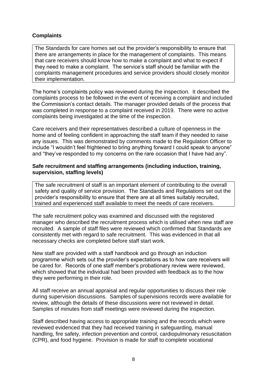#### **Complaints**

The Standards for care homes set out the provider's responsibility to ensure that there are arrangements in place for the management of complaints. This means that care receivers should know how to make a complaint and what to expect if they need to make a complaint. The service's staff should be familiar with the complaints management procedures and service providers should closely monitor their implementation.

The home's complaints policy was reviewed during the inspection. It described the complaints process to be followed in the event of receiving a complaint and included the Commission's contact details. The manager provided details of the process that was completed in response to a complaint received in 2019. There were no active complaints being investigated at the time of the inspection.

Care receivers and their representatives described a culture of openness in the home and of feeling confident in approaching the staff team if they needed to raise any issues. This was demonstrated by comments made to the Regulation Officer to include "I wouldn't feel frightened to bring anything forward I could speak to anyone" and "they've responded to my concerns on the rare occasion that I have had any".

#### **Safe recruitment and staffing arrangements (including induction, training, supervision, staffing levels)**

The safe recruitment of staff is an important element of contributing to the overall safety and quality of service provision. The Standards and Regulations set out the provider's responsibility to ensure that there are at all times suitably recruited, trained and experienced staff available to meet the needs of care receivers.

The safe recruitment policy was examined and discussed with the registered manager who described the recruitment process which is utilised when new staff are recruited. A sample of staff files were reviewed which confirmed that Standards are consistently met with regard to safe recruitment. This was evidenced in that all necessary checks are completed before staff start work.

New staff are provided with a staff handbook and go through an induction programme which sets out the provider's expectations as to how care receivers will be cared for. Records of one staff member's probationary review were reviewed, which showed that the individual had been provided with feedback as to the how they were performing in their role.

All staff receive an annual appraisal and regular opportunities to discuss their role during supervision discussions. Samples of supervisions records were available for review, although the details of these discussions were not reviewed in detail. Samples of minutes from staff meetings were reviewed during the inspection.

Staff described having access to appropriate training and the records which were reviewed evidenced that they had received training in safeguarding, manual handling, fire safety, infection prevention and control, cardiopulmonary resuscitation (CPR), and food hygiene. Provision is made for staff to complete vocational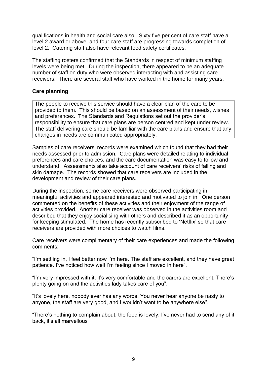qualifications in health and social care also. Sixty five per cent of care staff have a level 2 award or above, and four care staff are progressing towards completion of level 2. Catering staff also have relevant food safety certificates.

The staffing rosters confirmed that the Standards in respect of minimum staffing levels were being met. During the inspection, there appeared to be an adequate number of staff on duty who were observed interacting with and assisting care receivers. There are several staff who have worked in the home for many years.

#### **Care planning**

The people to receive this service should have a clear plan of the care to be provided to them. This should be based on an assessment of their needs, wishes and preferences. The Standards and Regulations set out the provider's responsibility to ensure that care plans are person centred and kept under review. The staff delivering care should be familiar with the care plans and ensure that any changes in needs are communicated appropriately.

Samples of care receivers' records were examined which found that they had their needs assessed prior to admission. Care plans were detailed relating to individual preferences and care choices, and the care documentation was easy to follow and understand. Assessments also take account of care receivers' risks of falling and skin damage. The records showed that care receivers are included in the development and review of their care plans.

During the inspection, some care receivers were observed participating in meaningful activities and appeared interested and motivated to join in. One person commented on the benefits of these activities and their enjoyment of the range of activities provided. Another care receiver was observed in the activities room and described that they enjoy socialising with others and described it as an opportunity for keeping stimulated. The home has recently subscribed to 'Netflix' so that care receivers are provided with more choices to watch films.

Care receivers were complimentary of their care experiences and made the following comments:

"I'm settling in, I feel better now I'm here. The staff are excellent, and they have great patience. I've noticed how well I'm feeling since I moved in here".

"I'm very impressed with it, it's very comfortable and the carers are excellent. There's plenty going on and the activities lady takes care of you".

"It's lovely here, nobody ever has any words. You never hear anyone be nasty to anyone, the staff are very good, and I wouldn't want to be anywhere else".

"There's nothing to complain about, the food is lovely, I've never had to send any of it back, it's all marvellous".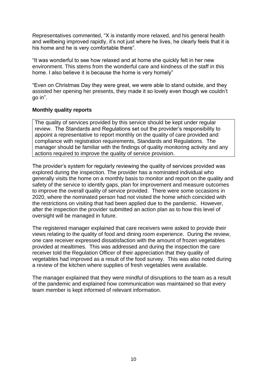Representatives commented, "X is instantly more relaxed, and his general health and wellbeing improved rapidly, it's not just where he lives, he clearly feels that it is his home and he is very comfortable there".

"It was wonderful to see how relaxed and at home she quickly felt in her new environment. This stems from the wonderful care and kindness of the staff in this home. I also believe it is because the home is very homely"

"Even on Christmas Day they were great, we were able to stand outside, and they assisted her opening her presents, they made it so lovely even though we couldn't go in".

#### **Monthly quality reports**

The quality of services provided by this service should be kept under regular review. The Standards and Regulations set out the provider's responsibility to appoint a representative to report monthly on the quality of care provided and compliance with registration requirements, Standards and Regulations. The manager should be familiar with the findings of quality monitoring activity and any actions required to improve the quality of service provision.

The provider's system for regularly reviewing the quality of services provided was explored during the inspection. The provider has a nominated individual who generally visits the home on a monthly basis to monitor and report on the quality and safety of the service to identify gaps, plan for improvement and measure outcomes to improve the overall quality of service provided. There were some occasions in 2020, where the nominated person had not visited the home which coincided with the restrictions on visiting that had been applied due to the pandemic. However, after the inspection the provider submitted an action plan as to how this level of oversight will be managed in future.

The registered manager explained that care receivers were asked to provide their views relating to the quality of food and dining room experience. During the review, one care receiver expressed dissatisfaction with the amount of frozen vegetables provided at mealtimes. This was addressed and during the inspection the care receiver told the Regulation Officer of their appreciation that they quality of vegetables had improved as a result of the food survey. This was also noted during a review of the kitchen where supplies of fresh vegetables were available.

The manager explained that they were mindful of disruptions to the team as a result of the pandemic and explained how communication was maintained so that every team member is kept informed of relevant information.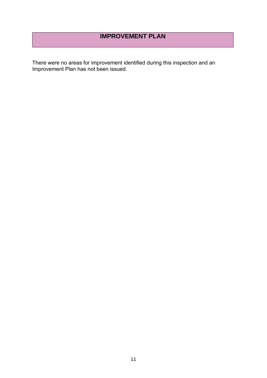# **IMPROVEMENT PLAN**

There were no areas for improvement identified during this inspection and an Improvement Plan has not been issued.